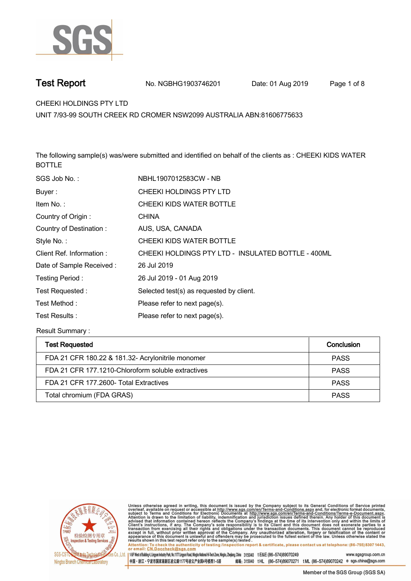

**Test Report. No. NGBHG1903746201** Date: 01 Aug 2019 Page 1 of 8

**CHEEKI HOLDINGS PTY LTD .**

**UNIT 7/93-99 SOUTH CREEK RD CROMER NSW2099 AUSTRALIA ABN:81606775633**

**The following sample(s) was/were submitted and identified on behalf of the clients as : CHEEKI KIDS WATER BOTTLE.**

| SGS Job No.:             | NBHL1907012583CW - NB                              |
|--------------------------|----------------------------------------------------|
| Buyer:                   | CHEEKI HOLDINGS PTY LTD                            |
| Item No.:                | CHEEKI KIDS WATER BOTTLE                           |
| Country of Origin:       | <b>CHINA</b>                                       |
| Country of Destination:  | AUS, USA, CANADA                                   |
| Style No.:               | CHEEKI KIDS WATER BOTTLE                           |
| Client Ref. Information: | CHEEKI HOLDINGS PTY LTD - INSULATED BOTTLE - 400ML |
| Date of Sample Received: | 26 Jul 2019                                        |
| Testing Period:          | 26 Jul 2019 - 01 Aug 2019                          |
| Test Requested:          | Selected test(s) as requested by client.           |
| Test Method :            | Please refer to next page(s).                      |
| Test Results:            | Please refer to next page(s).                      |

**Result Summary :.**

| <b>Test Requested</b>                              | Conclusion  |
|----------------------------------------------------|-------------|
| FDA 21 CFR 180.22 & 181.32- Acrylonitrile monomer  | <b>PASS</b> |
| FDA 21 CFR 177.1210-Chloroform soluble extractives | <b>PASS</b> |
| FDA 21 CFR 177 2600- Total Extractives             | <b>PASS</b> |
| Total chromium (FDA GRAS)                          | <b>PASS</b> |



Unless otherwise agreed in writing, this document is issued by the Company subject to its General Conditions of Service printed<br>overleaf, available on request or accessible at http://www.sgs.com/en/Terms-and-Conditions.asp

Attention: To check the authenticity of testing linspection report & certificate, please contact us at telephone: (86-755) 8307 1443, or email: CN.Doccheck@sgs.com 145F West of Building 4, Lingum Industry Park, No. 1177 Lingyun Road, Ningbo National Hi-Tech Zone, Ningbo, Zhejiang, China 315040 t E&E (86-574)89070249 www.sasaroup.com.cn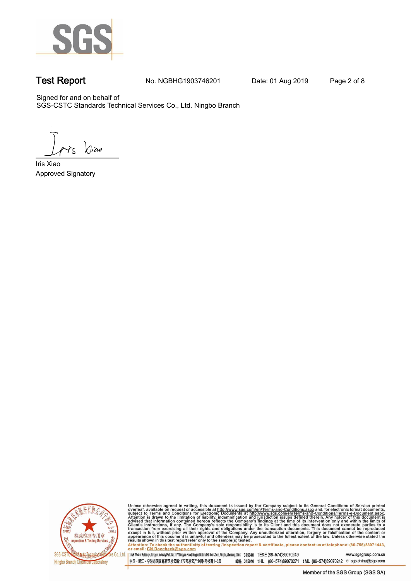

**Test Report. No. NGBHG1903746201 Date: 01 Aug 2019. Page 2 of 8.**

Signed for and on behalf of SGS-CSTC Standards Technical Services Co., Ltd. Ningbo Branch.

 $\chi_{\nu}$ ao

**Approved Signatory . . . Iris Xiao.**



Unless otherwise agreed in writing, this document is issued by the Company subject to its General Conditions of Service printed overleaf, available on request or accessible at http://www.sgs.com/en/Terms-and-Conditions.as

145F West of Building 4, Lingun Industry Park, No. 1177 Lingyun Road, Ningbo National Hi-Tech Zone, Ningbo, Zhejiang, China 315040 t E&E (86-574)89070249 www.sgsgroup.com.cn

中国・浙江・宁波市国家高新区凌云路1177号凌云产业园4号楼西1-5层 邮编: 315040 tHL (86-574)89070271 tML (86-574)89070242 e sgs.china@sgs.com Member of the SGS Group (SGS SA)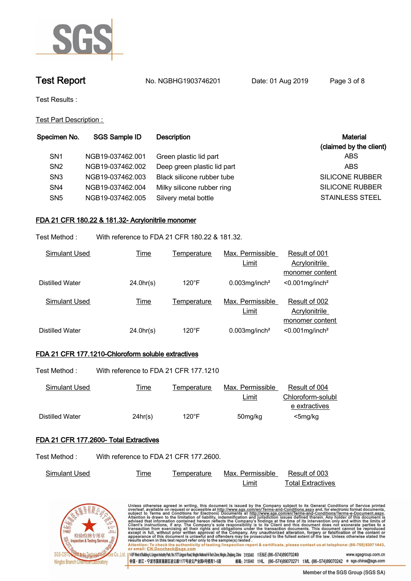

# **Test Report No. NGBHG1903746201** Date: 01 Aug 2019 Page 3 of 8

**Test Results :.**

**Test Part Description : .**

| Specimen No.    | <b>SGS Sample ID</b> | Description                 | <b>Material</b>         |
|-----------------|----------------------|-----------------------------|-------------------------|
|                 |                      |                             | (claimed by the client) |
| SN <sub>1</sub> | NGB19-037462.001     | Green plastic lid part      | ABS                     |
| SN <sub>2</sub> | NGB19-037462.002     | Deep green plastic lid part | <b>ABS</b>              |
| SN <sub>3</sub> | NGB19-037462.003     | Black silicone rubber tube  | SILICONE RUBBER         |
| SN <sub>4</sub> | NGB19-037462.004     | Milky silicone rubber ring  | <b>SILICONE RUBBER</b>  |
| SN <sub>5</sub> | NGB19-037462.005     | Silvery metal bottle        | <b>STAINLESS STEEL</b>  |
|                 |                      |                             |                         |

## **FDA 21 CFR 180.22 & 181.32- Acrylonitrile monomer.**

**Test Method :. With reference to FDA 21 CFR 180.22 & 181.32. .**

| Simulant Used   | <u>Time</u> | Temperature     | Max. Permissible             | Result of 001                  |
|-----------------|-------------|-----------------|------------------------------|--------------------------------|
|                 |             |                 | Limit                        | Acrylonitrile                  |
|                 |             |                 |                              | monomer content                |
| Distilled Water | 24.0hr(s)   | $120^{\circ}$ F | $0.003$ mg/inch <sup>2</sup> | $< 0.001$ mg/inch <sup>2</sup> |
| Simulant Used   | <u>Time</u> | Temperature     | Max. Permissible             | Result of 002                  |
|                 |             |                 | Limit                        | Acrylonitrile                  |
|                 |             |                 |                              | monomer content                |
| Distilled Water | 24.0hr(s)   | $120^{\circ}$ F | $0.003$ mg/inch <sup>2</sup> | $< 0.001$ mg/inch <sup>2</sup> |

## **FDA 21 CFR 177.1210-Chloroform soluble extractives.**

**Test Method :. With reference to FDA 21 CFR 177.1210 .**

| .               |             |                 |                  |                   |  |
|-----------------|-------------|-----------------|------------------|-------------------|--|
| Simulant Used   | <u>Time</u> | Temperature     | Max. Permissible | Result of 004     |  |
|                 |             |                 | Limit            | Chloroform-solubl |  |
|                 |             |                 |                  | e extractives     |  |
| Distilled Water | 24hr(s)     | $120^{\circ}$ F | 50mg/kg          | <5mg/kg           |  |

### **FDA 21 CFR 177.2600- Total Extractives.**

**Test Method :. With reference to FDA 21 CFR 177.2600. .**

| Simulant Used | ⊺ime | emperature | Max. Permissible | Result of 003            |
|---------------|------|------------|------------------|--------------------------|
|               |      |            | imit             | <b>Total Extractives</b> |



| Unless otherwise agreed in writing, this document is issued by the Company subject to its General Conditions of Service printed<br>overleaf, available on request or accessible at http://www.sqs.com/en/Terms-and-Conditions.aspx and, for electronic format documents,<br>subject to Terms and Conditions for Electronic Documents at http://www.sgs.com/en/Terms-and-Conditions/Terms-e-Document.aspx.<br>Attention is drawn to the limitation of liability, indemnification and jurisdiction issues defined therein. Any holder of this document is<br>advised that information contained hereon reflects the Company's findings at the time of its intervention only and within the limits of<br>Client's instructions, if any. The Company's sole responsibility is to its Client and this document does not exonerate parties to a<br>transaction from exercising all their rights and obligations under the transaction documents. This document cannot be reproduced<br>except in full, without prior written approval of the Company. Any unauthorized alteration, forgery or falsification of the content or<br>appearance of this document is unlawful and offenders may be prosecuted to the fullest extent of the law. Unless otherwise stated the<br>results shown in this test report refer only to the sample(s) tested. |
|-------------------------------------------------------------------------------------------------------------------------------------------------------------------------------------------------------------------------------------------------------------------------------------------------------------------------------------------------------------------------------------------------------------------------------------------------------------------------------------------------------------------------------------------------------------------------------------------------------------------------------------------------------------------------------------------------------------------------------------------------------------------------------------------------------------------------------------------------------------------------------------------------------------------------------------------------------------------------------------------------------------------------------------------------------------------------------------------------------------------------------------------------------------------------------------------------------------------------------------------------------------------------------------------------------------------------------------------|
| Attention: To check the authenticity of testing /inspection report & certificate, please contact us at telephone: (86-755) 8307 1443,<br>or email: CN.Doccheck@sgs.com                                                                                                                                                                                                                                                                                                                                                                                                                                                                                                                                                                                                                                                                                                                                                                                                                                                                                                                                                                                                                                                                                                                                                                    |
| 0., Ltd.   1-51F West of Building 4, Lingyun Industry Park, No.1177 Lingyun Road, Ningbo National Hi-Tech Zone, Ningbo, Zheijang, China 315040 t E&E (86—574)89070249<br>www.sgsgroup.com.cn                                                                                                                                                                                                                                                                                                                                                                                                                                                                                                                                                                                                                                                                                                                                                                                                                                                                                                                                                                                                                                                                                                                                              |
| 中国・浙江・宁波市国家高新区凌云路1177号凌云产业园4号楼西1-5层<br>e sgs.china@sgs.com<br>t ML (86-574)89070242<br>邮编: 315040 tHL (86-574)89070271                                                                                                                                                                                                                                                                                                                                                                                                                                                                                                                                                                                                                                                                                                                                                                                                                                                                                                                                                                                                                                                                                                                                                                                                                    |
|                                                                                                                                                                                                                                                                                                                                                                                                                                                                                                                                                                                                                                                                                                                                                                                                                                                                                                                                                                                                                                                                                                                                                                                                                                                                                                                                           |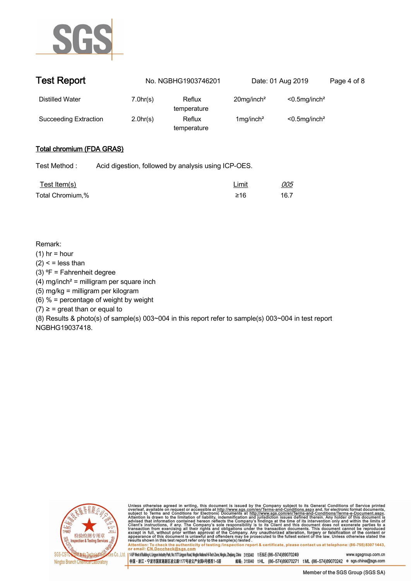

| <b>Test Report</b>           |          | No. NGBHG1903746201   | Date: 01 Aug 2019         |                              | Page 4 of 8 |
|------------------------------|----------|-----------------------|---------------------------|------------------------------|-------------|
| Distilled Water              | 7.0hr(s) | Reflux<br>temperature | $20$ mg/inch <sup>2</sup> | $< 0.5$ mg/inch <sup>2</sup> |             |
| <b>Succeeding Extraction</b> | 2.0hr(s) | Reflux<br>temperature | $1$ mg/inch <sup>2</sup>  | $< 0.5$ mg/inch <sup>2</sup> |             |

## **Total chromium (FDA GRAS).**

**Test Method :. Acid digestion, followed by analysis using ICP-OES. .**

| <u>Test Item(s)</u> | Limit | <i>005</i> |
|---------------------|-------|------------|
| Total Chromium,%    | ≥16   | 16.7       |

### **Remark:**

- **(1) hr = hour**
- **(2) < = less than**
- **(3) ⁰F = Fahrenheit degree**
- **(4) mg/inch² = milligram per square inch**
- **(5) mg/kg = milligram per kilogram**
- **(6) % = percentage of weight by weight**
- **(7) ≥ = great than or equal to**

**(8) Results & photo(s) of sample(s) 003~004 in this report refer to sample(s) 003~004 in test report NGBHG19037418..**



Unless otherwise agreed in writing, this document is issued by the Company subject to its General Conditions of Service printed<br>overleaf, available on request or accessible at http://www.sgs.com/en/Terms-and-Conditions.asp

Attention: To check the authenticity of testing linspection report & certificate, please contact us at telephone: (86-755) 8307 1443, or email: CN.Doccheck@sgs.com 145F West of Building 4, Lingyun Industry Park, No.1177 Lingyun Road, Ningbo National Hi-Tech Zone, Ningbo, Zhejang, China 315040 t E&E (86-574)89070249 www.sasgroup.com.cn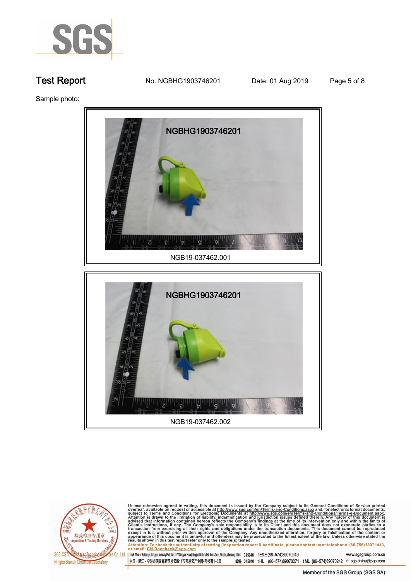

**Test Report. No. NGBHG1903746201** Date: 01 Aug 2019 Page 5 of 8

**Sample photo:.**



**NGB19-037462.002 .**



Unless otherwise agreed in writing, this document is issued by the Company subject to its General Conditions of Service printed<br>overleaf, available on request or accessible at <u>http://www.sgs.com/en/Terms-and-Conditions.a</u>

145F West of Building 4, Lingun Industry Park, No. 1177 Lingyun Road, Ningbo National Hi-Tech Zone, Ningbo, Zhejiang, China 315040 t E&E (86-574)89070249 www.sgsgroup.com.cn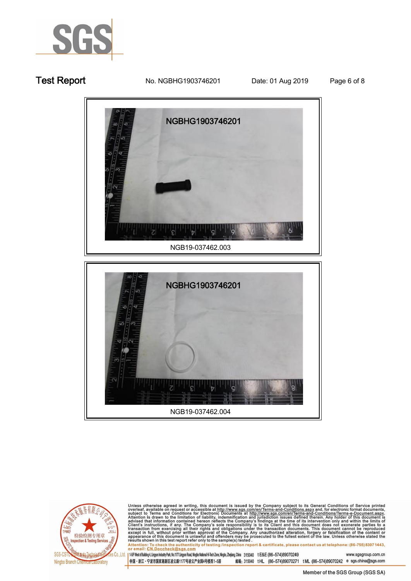

**Test Report. No. NGBHG1903746201** Date: 01 Aug 2019 Page 6 of 8



**NGB19-037462.004 .**



Unless otherwise agreed in writing, this document is issued by the Company subject to its General Conditions of Service printed<br>overleaf, available on request or accessible at http://www.sgs.com/en/Terms-and-Conditions.as

145F West of Building 4, Lingun Industry Park, No. 1177 Lingyun Road, Ningbo National Hi-Tech Zone, Ningbo, Zhejang, China 315040 t E&E (86-574)89070249 www.sgsgroup.com.cn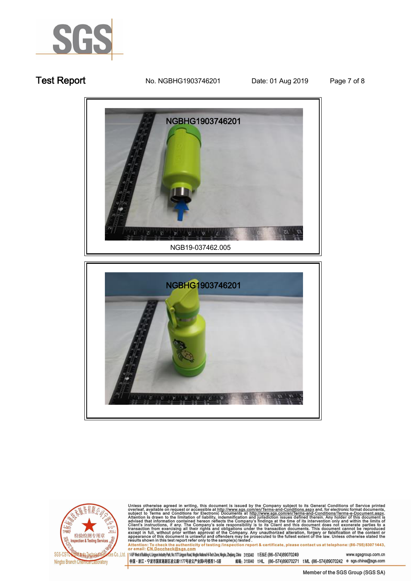

## **Test Report. No. NGBHG1903746201** Date: 01 Aug 2019 Page 7 of 8







Unless otherwise agreed in writing, this document is issued by the Company subject to its General Conditions of Service printed<br>overleaf, available on request or accessible at <u>http://www.sgs.com/en/Terms-and-Conditions.a</u>

145F West of Building 4, Lingun Industry Park, No. 1177 Lingyun Road, Ningbo National Hi-Tech Zone, Ningbo, Zhejiang, China 315040 t E&E (86-574)89070249 www.sgsgroup.com.cn